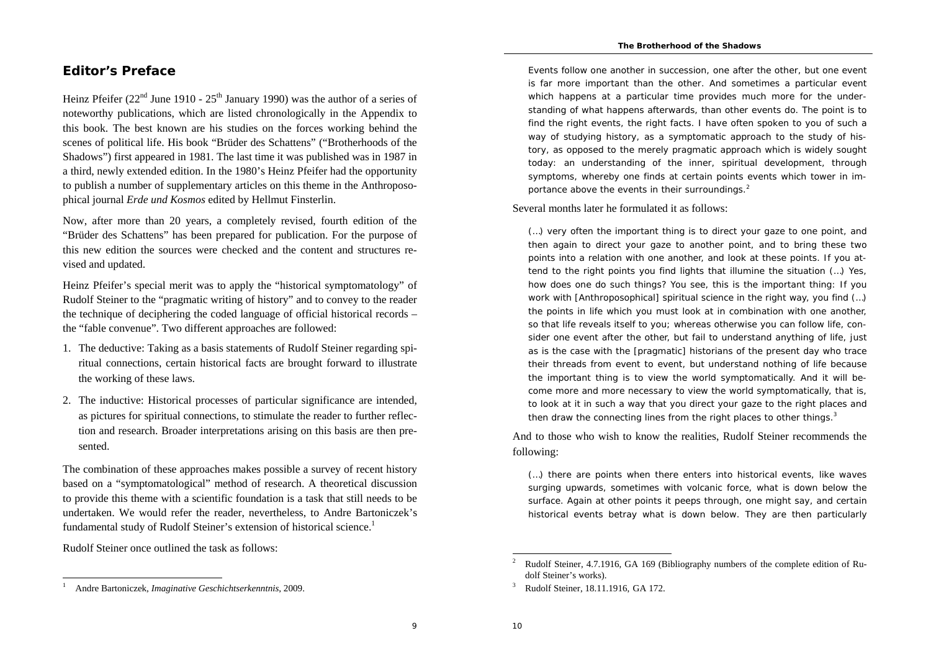### **Editor's Preface**

Heinz Pfeifer ( $22<sup>nd</sup>$  June 1910 -  $25<sup>th</sup>$  January 1990) was the author of a series of noteworthy publications, which are listed chronologically in the Appendix to this book. The best known are his studies on the forces working behind the scenes of political life. His book "Brüder des Schattens" ("Brotherhoods of the Shadows") first appeared in 1981. The last time it was published was in 1987 in a third, newly extended edition. In the 1980's Heinz Pfeifer had the opportunity to publish a number of supplementary articles on this theme in the Anthroposophical journal *Erde und Kosmos* edited by Hellmut Finsterlin.

Now, after more than 20 years, a completely revised, fourth edition of the "Brüder des Schattens" has been prepared for publication. For the purpose of this new edition the sources were checked and the content and structures revised and updated.

Heinz Pfeifer's special merit was to apply the "historical symptomatology" of Rudolf Steiner to the "pragmatic writing of history" and to convey to the reader the technique of deciphering the coded language of official historical records – the "fable convenue". Two different approaches are followed:

- 1. The deductive: Taking as a basis statements of Rudolf Steiner regarding spiritual connections, certain historical facts are brought forward to illustrate the working of these laws.
- 2. The inductive: Historical processes of particular significance are intended, as pictures for spiritual connections, to stimulate the reader to further reflection and research. Broader interpretations arising on this basis are then presented.

The combination of these approaches makes possible a survey of recent history based on a "symptomatological" method of research. A theoretical discussion to provide this theme with a scientific foundation is a task that still needs to be undertaken. We would refer the reader, nevertheless, to Andre Bartoniczek's fundamental study of Rudolf Steiner's extension of historical science.<sup>1</sup>

Rudolf Steiner once outlined the task as follows:

Events follow one another in succession, one after the other, but one event is far more important than the other. And sometimes a particular event which happens at a particular time provides much more for the understanding of what happens afterwards, than other events do. The point is to find the right events, the right facts. I have often spoken to you of such a way of studying history, as a symptomatic approach to the study of history, as opposed to the merely pragmatic approach which is widely sought today: an understanding of the inner, spiritual development, through symptoms, whereby one finds at certain points events which tower in importance above the events in their surroundings.<sup>2</sup>

Several months later he formulated it as follows:

(…) very often the important thing is to direct your gaze to one point, and then again to direct your gaze to another point, and to bring these two points into a relation with one another, and look at these points. If you attend to the right points you find lights that illumine the situation (…) Yes, how does one do such things? You see, this is the important thing: If you work with [Anthroposophical] spiritual science in the right way, you find (…) the points in life which you must look at in combination with one another, so that life reveals itself to you; whereas otherwise you can follow life, consider one event after the other, but fail to understand anything of life, just as is the case with the [pragmatic] historians of the present day who trace their threads from event to event, but understand nothing of life because the important thing is to view the world symptomatically. And it will become more and more necessary to view the world symptomatically, that is, to look at it in such a way that you direct your gaze to the right places and then draw the connecting lines from the right places to other things.<sup>3</sup>

And to those who wish to know the realities, Rudolf Steiner recommends the following:

(…) there are points when there enters into historical events, like waves surging upwards, sometimes with volcanic force, what is down below the surface. Again at other points it peeps through, one might say, and certain historical events betray what is down below. They are then particularly

 $\circ$ 

<sup>1</sup> Andre Bartoniczek, *Imaginative Geschichtserkenntnis*, 2009.

<sup>2</sup> Rudolf Steiner, 4.7.1916, GA 169 (Bibliography numbers of the complete edition of Rudolf Steiner's works).

<sup>3</sup> Rudolf Steiner, 18.11.1916, GA 172.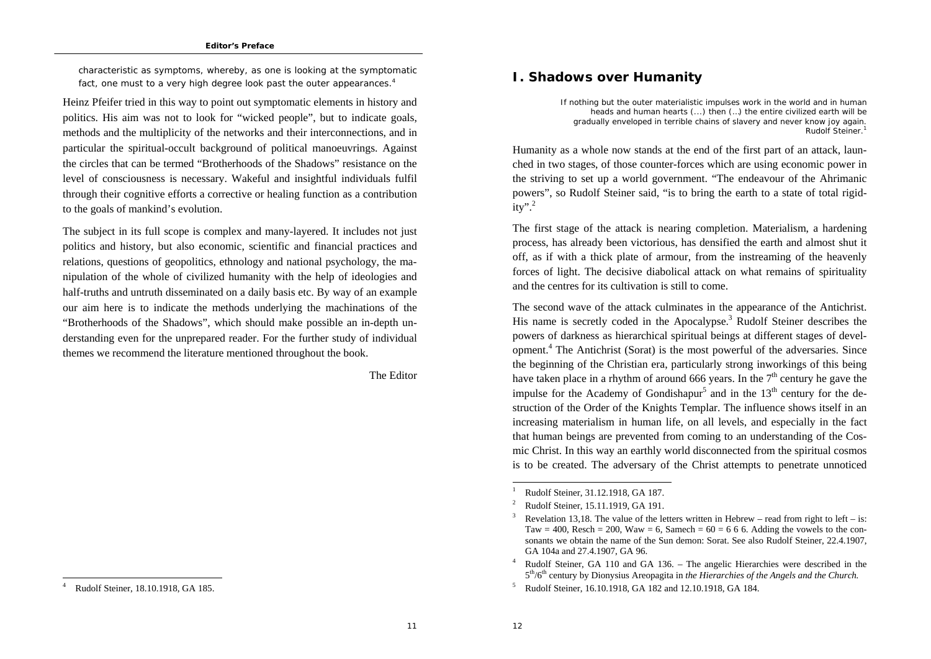characteristic as symptoms, whereby, as one is looking at the symptomatic fact, one must to a very high degree look past the outer appearances.<sup>4</sup>

Heinz Pfeifer tried in this way to point out symptomatic elements in history and politics. His aim was not to look for "wicked people", but to indicate goals, methods and the multiplicity of the networks and their interconnections, and in particular the spiritual-occult background of political manoeuvrings. Against the circles that can be termed "Brotherhoods of the Shadows" resistance on the level of consciousness is necessary. Wakeful and insightful individuals fulfil through their cognitive efforts a corrective or healing function as a contribution to the goals of mankind's evolution.

The subject in its full scope is complex and many-layered. It includes not just politics and history, but also economic, scientific and financial practices and relations, questions of geopolitics, ethnology and national psychology, the manipulation of the whole of civilized humanity with the help of ideologies and half-truths and untruth disseminated on a daily basis etc. By way of an example our aim here is to indicate the methods underlying the machinations of the "Brotherhoods of the Shadows", which should make possible an in-depth understanding even for the unprepared reader. For the further study of individual themes we recommend the literature mentioned throughout the book.

The Editor

# **I. Shadows over Humanity**

*If nothing but the outer materialistic impulses work in the world and in human heads and human hearts (...) then (…) the entire civilized earth will be gradually enveloped in terrible chains of slavery and never know joy again*. Rudolf Steiner.<sup>1</sup>

Humanity as a whole now stands at the end of the first part of an attack, launched in two stages, of those counter-forces which are using economic power in the striving to set up a world government. "The endeavour of the Ahrimanic powers", so Rudolf Steiner said, "is to bring the earth to a state of total rigid $itv$ ".<sup>2</sup>

The first stage of the attack is nearing completion. Materialism, a hardening process, has already been victorious, has densified the earth and almost shut it off, as if with a thick plate of armour, from the instreaming of the heavenly forces of light. The decisive diabolical attack on what remains of spirituality and the centres for its cultivation is still to come.

The second wave of the attack culminates in the appearance of the Antichrist. His name is secretly coded in the Apocalypse.<sup>3</sup> Rudolf Steiner describes the powers of darkness as hierarchical spiritual beings at different stages of development.4 The Antichrist (Sorat) is the most powerful of the adversaries. Since the beginning of the Christian era, particularly strong inworkings of this being have taken place in a rhythm of around 666 years. In the  $7<sup>th</sup>$  century he gave the impulse for the Academy of Gondishapur<sup>5</sup> and in the  $13<sup>th</sup>$  century for the destruction of the Order of the Knights Templar. The influence shows itself in an increasing materialism in human life, on all levels, and especially in the fact that human beings are prevented from coming to an understanding of the Cosmic Christ. In this way an earthly world disconnected from the spiritual cosmos is to be created. The adversary of the Christ attempts to penetrate unnoticed

 $1$ 

<sup>4</sup> Rudolf Steiner, 18.10.1918, GA 185.

<sup>1</sup> Rudolf Steiner, 31.12.1918, GA 187.

<sup>2</sup> Rudolf Steiner, 15.11.1919, GA 191.

Revelation 13,18. The value of the letters written in Hebrew – read from right to left – is: Taw = 400, Resch = 200, Waw = 6, Samech =  $60 = 666$ , Adding the vowels to the consonants we obtain the name of the Sun demon: Sorat. See also Rudolf Steiner, 22.4.1907, GA 104a and 27.4.1907, GA 96.

<sup>4</sup> Rudolf Steiner, GA 110 and GA 136. – The angelic Hierarchies were described in the <sup>5</sup>th/6th century by Dionysius Areopagita in *the Hierarchies of the Angels and the Church.*

<sup>5</sup> Rudolf Steiner, 16.10.1918, GA 182 and 12.10.1918, GA 184.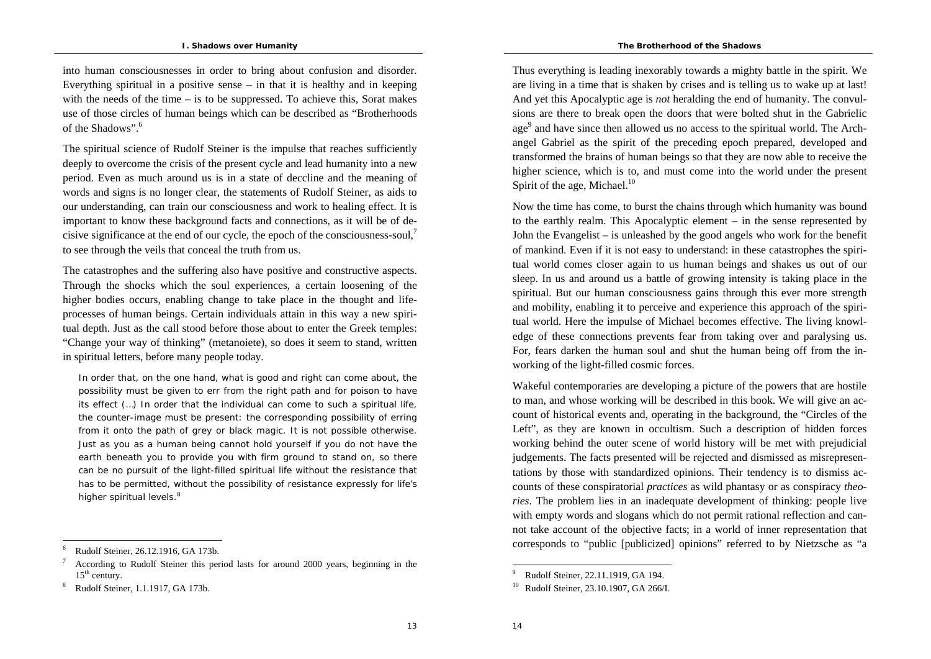into human consciousnesses in order to bring about confusion and disorder. Everything spiritual in a positive sense  $-$  in that it is healthy and in keeping with the needs of the time  $-$  is to be suppressed. To achieve this, Sorat makes use of those circles of human beings which can be described as "Brotherhoods of the Shadows".<sup>6</sup>

The spiritual science of Rudolf Steiner is the impulse that reaches sufficiently deeply to overcome the crisis of the present cycle and lead humanity into a new period. Even as much around us is in a state of deccline and the meaning of words and signs is no longer clear, the statements of Rudolf Steiner, as aids to our understanding, can train our consciousness and work to healing effect. It is important to know these background facts and connections, as it will be of decisive significance at the end of our cycle, the epoch of the consciousness-soul,<sup>7</sup> to see through the veils that conceal the truth from us.

The catastrophes and the suffering also have positive and constructive aspects. Through the shocks which the soul experiences, a certain loosening of the higher bodies occurs, enabling change to take place in the thought and lifeprocesses of human beings. Certain individuals attain in this way a new spiritual depth. Just as the call stood before those about to enter the Greek temples: "Change your way of thinking" (metanoiete), so does it seem to stand, written in spiritual letters, before many people today.

In order that, on the one hand, what is good and right can come about, the possibility must be given to err from the right path and for poison to have its effect (…) In order that the individual can come to such a spiritual life, the counter-image must be present: the corresponding possibility of erring from it onto the path of grey or black magic. It is not possible otherwise. Just as you as a human being cannot hold yourself if you do not have the earth beneath you to provide you with firm ground to stand on, so there can be no pursuit of the light-filled spiritual life without the resistance that has to be permitted, without the possibility of resistance expressly for life's higher spiritual levels.<sup>8</sup>

Thus everything is leading inexorably towards a mighty battle in the spirit. We are living in a time that is shaken by crises and is telling us to wake up at last! And yet this Apocalyptic age is *not* heralding the end of humanity. The convulsions are there to break open the doors that were bolted shut in the Gabrielic age<sup>9</sup> and have since then allowed us no access to the spiritual world. The Archangel Gabriel as the spirit of the preceding epoch prepared, developed and transformed the brains of human beings so that they are now able to receive the higher science, which is to, and must come into the world under the present Spirit of the age, Michael. $10$ 

Now the time has come, to burst the chains through which humanity was bound to the earthly realm. This Apocalyptic element – in the sense represented by John the Evangelist – is unleashed by the good angels who work for the benefit of mankind. Even if it is not easy to understand: in these catastrophes the spiritual world comes closer again to us human beings and shakes us out of our sleep. In us and around us a battle of growing intensity is taking place in the spiritual. But our human consciousness gains through this ever more strength and mobility, enabling it to perceive and experience this approach of the spiritual world. Here the impulse of Michael becomes effective. The living knowledge of these connections prevents fear from taking over and paralysing us. For, fears darken the human soul and shut the human being off from the inworking of the light-filled cosmic forces.

Wakeful contemporaries are developing a picture of the powers that are hostile to man, and whose working will be described in this book. We will give an account of historical events and, operating in the background, the "Circles of the Left", as they are known in occultism. Such a description of hidden forces working behind the outer scene of world history will be met with prejudicial judgements. The facts presented will be rejected and dismissed as misrepresentations by those with standardized opinions. Their tendency is to dismiss accounts of these conspiratorial *practices* as wild phantasy or as conspiracy *theories*. The problem lies in an inadequate development of thinking: people live with empty words and slogans which do not permit rational reflection and cannot take account of the objective facts; in a world of inner representation that corresponds to "public [publicized] opinions" referred to by Nietzsche as "a

<sup>6</sup> Rudolf Steiner, 26.12.1916, GA 173b.

<sup>7</sup> According to Rudolf Steiner this period lasts for around 2000 years, beginning in the  $15<sup>th</sup>$  century.

<sup>8</sup> Rudolf Steiner, 1.1.1917, GA 173b.

<sup>9</sup> Rudolf Steiner, 22.11.1919, GA 194.

<sup>10</sup> Rudolf Steiner, 23.10.1907, GA 266/I.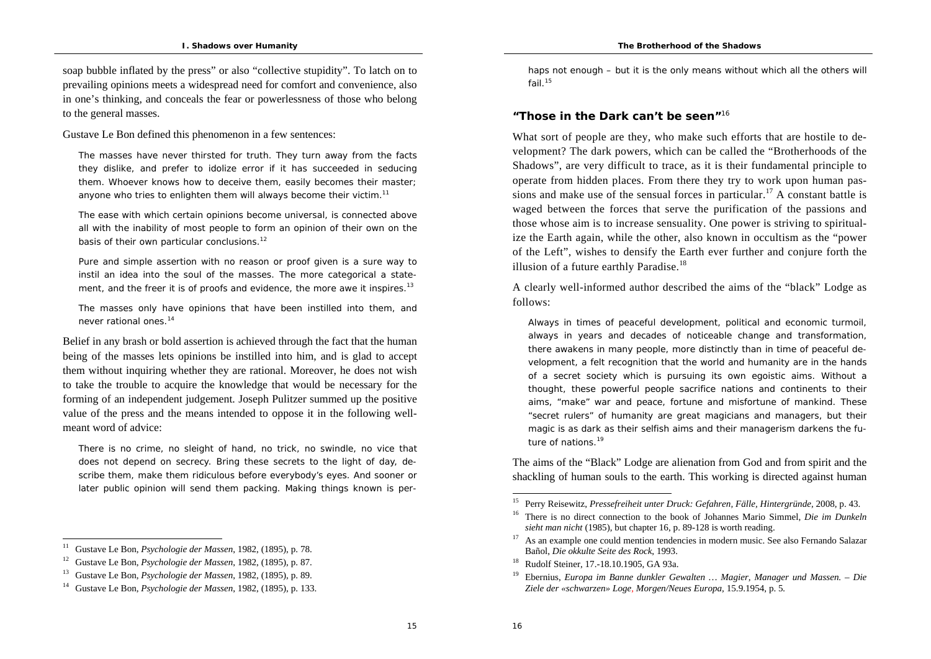soap bubble inflated by the press" or also "collective stupidity". To latch on to prevailing opinions meets a widespread need for comfort and convenience, also in one's thinking, and conceals the fear or powerlessness of those who belong to the general masses.

Gustave Le Bon defined this phenomenon in a few sentences:

The masses have never thirsted for truth. They turn away from the facts they dislike, and prefer to idolize error if it has succeeded in seducing them. Whoever knows how to deceive them, easily becomes their master; anyone who tries to enlighten them will always become their victim.<sup>11</sup>

The ease with which certain opinions become universal, is connected above all with the inability of most people to form an opinion of their own on the basis of their own particular conclusions.<sup>12</sup>

Pure and simple assertion with no reason or proof given is a sure way to instil an idea into the soul of the masses. The more categorical a statement, and the freer it is of proofs and evidence, the more awe it inspires.<sup>13</sup>

The masses only have opinions that have been instilled into them, and never rational ones.<sup>14</sup>

Belief in any brash or bold assertion is achieved through the fact that the human being of the masses lets opinions be instilled into him, and is glad to accept them without inquiring whether they are rational. Moreover, he does not wish to take the trouble to acquire the knowledge that would be necessary for the forming of an independent judgement. Joseph Pulitzer summed up the positive value of the press and the means intended to oppose it in the following wellmeant word of advice:

There is no crime, no sleight of hand, no trick, no swindle, no vice that does not depend on secrecy. Bring these secrets to the light of day, describe them, make them ridiculous before everybody's eyes. And sooner or later public opinion will send them packing. Making things known is perhaps not enough – but it is the only means without which all the others will fail<sup>15</sup>

## **"Those in the Dark can't be seen"**<sup>16</sup>

What sort of people are they, who make such efforts that are hostile to development? The dark powers, which can be called the "Brotherhoods of the Shadows", are very difficult to trace, as it is their fundamental principle to operate from hidden places. From there they try to work upon human passions and make use of the sensual forces in particular.<sup>17</sup> A constant battle is waged between the forces that serve the purification of the passions and those whose aim is to increase sensuality. One power is striving to spiritualize the Earth again, while the other, also known in occultism as the "power of the Left", wishes to densify the Earth ever further and conjure forth the illusion of a future earthly Paradise.<sup>18</sup>

A clearly well-informed author described the aims of the "black" Lodge as follows:

Always in times of peaceful development, political and economic turmoil, always in years and decades of noticeable change and transformation, there awakens in many people, more distinctly than in time of peaceful development, a felt recognition that the world and humanity are in the hands of a secret society which is pursuing its own egoistic aims. Without a thought, these powerful people sacrifice nations and continents to their aims, "make" war and peace, fortune and misfortune of mankind. These "secret rulers" of humanity are great magicians and managers, but their magic is as dark as their selfish aims and their managerism darkens the future of nations.<sup>19</sup>

The aims of the "Black" Lodge are alienation from God and from spirit and the shackling of human souls to the earth. This working is directed against human

<sup>11</sup> Gustave Le Bon, *Psychologie der Massen*, 1982, (1895), p. 78.

<sup>12</sup> Gustave Le Bon, *Psychologie der Massen*, 1982, (1895), p. 87.

<sup>13</sup> Gustave Le Bon, *Psychologie der Massen*, 1982, (1895), p. 89.

<sup>14</sup> Gustave Le Bon, *Psychologie der Massen*, 1982, (1895), p. 133.

<sup>15</sup> Perry Reisewitz, *Pressefreiheit unter Druck: Gefahren, Fälle, Hintergründe*, 2008, p. 43.

<sup>16</sup> There is no direct connection to the book of Johannes Mario Simmel, *Die im Dunkeln sieht man nicht* (1985), but chapter 16, p. 89-128 is worth reading.

<sup>17</sup> As an example one could mention tendencies in modern music. See also Fernando Salazar Bañol, *Die okkulte Seite des Rock*, 1993.

<sup>18</sup> Rudolf Steiner, 17.-18.10.1905, GA 93a.

<sup>19</sup> Ebernius, *Europa im Banne dunkler Gewalten … Magier, Manager und Massen. – Die Ziele der «schwarzen» Loge, Morgen/Neues Europa,* 15.9.1954, p. 5*.*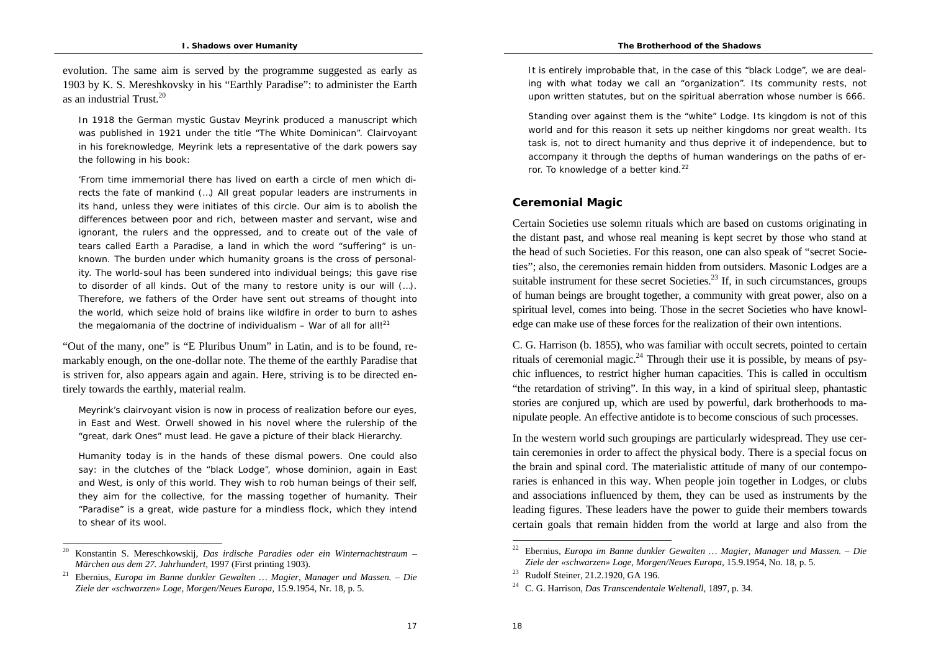evolution. The same aim is served by the programme suggested as early as 1903 by K. S. Mereshkovsky in his "Earthly Paradise": to administer the Earth as an industrial Trust<sup>20</sup>

In 1918 the German mystic Gustav Meyrink produced a manuscript which was published in 1921 under the title "The White Dominican". Clairvoyant in his foreknowledge, Meyrink lets a representative of the dark powers say the following in his book:

'From time immemorial there has lived on earth a circle of men which directs the fate of mankind (…) All great popular leaders are instruments in its hand, unless they were initiates of this circle. Our aim is to abolish the differences between poor and rich, between master and servant, wise and ignorant, the rulers and the oppressed, and to create out of the vale of tears called Earth a Paradise, a land in which the word "suffering" is unknown. The burden under which humanity groans is the cross of personality. The world-soul has been sundered into individual beings; this gave rise to disorder of all kinds. Out of the many to restore unity is our will (…). Therefore, we fathers of the Order have sent out streams of thought into the world, which seize hold of brains like wildfire in order to burn to ashes the megalomania of the doctrine of individualism  $-$  War of all for all!<sup>21</sup>

"Out of the many, one" is "E Pluribus Unum" in Latin, and is to be found, remarkably enough, on the one-dollar note. The theme of the earthly Paradise that is striven for, also appears again and again. Here, striving is to be directed entirely towards the earthly, material realm.

Meyrink's clairvoyant vision is now in process of realization before our eyes, in East and West. Orwell showed in his novel where the rulership of the "great, dark Ones" must lead. He gave a picture of their black Hierarchy.

Humanity today is in the hands of these dismal powers. One could also say: in the clutches of the "black Lodge", whose dominion, again in East and West, is only of this world. They wish to rob human beings of their self, they aim for the collective, for the massing together of humanity. Their "Paradise" is a great, wide pasture for a mindless flock, which they intend to shear of its wool.

It is entirely improbable that, in the case of this "black Lodge", we are dealing with what today we call an "organization". Its community rests, not upon written statutes, but on the spiritual aberration whose number is 666.

Standing over against them is the "white" Lodge. Its kingdom is not of this world and for this reason it sets up neither kingdoms nor great wealth. Its task is, not to direct humanity and thus deprive it of independence, but to accompany it through the depths of human wanderings on the paths of error. To knowledge of a better kind.<sup>22</sup>

### **Ceremonial Magic**

Certain Societies use solemn rituals which are based on customs originating in the distant past, and whose real meaning is kept secret by those who stand at the head of such Societies. For this reason, one can also speak of "secret Societies"; also, the ceremonies remain hidden from outsiders. Masonic Lodges are a suitable instrument for these secret Societies.<sup>23</sup> If, in such circumstances, groups of human beings are brought together, a community with great power, also on a spiritual level, comes into being. Those in the secret Societies who have knowledge can make use of these forces for the realization of their own intentions.

C. G. Harrison (b. 1855), who was familiar with occult secrets, pointed to certain rituals of ceremonial magic.<sup>24</sup> Through their use it is possible, by means of psychic influences, to restrict higher human capacities. This is called in occultism "the retardation of striving". In this way, in a kind of spiritual sleep, phantastic stories are conjured up, which are used by powerful, dark brotherhoods to manipulate people. An effective antidote is to become conscious of such processes.

In the western world such groupings are particularly widespread. They use certain ceremonies in order to affect the physical body. There is a special focus on the brain and spinal cord. The materialistic attitude of many of our contemporaries is enhanced in this way. When people join together in Lodges, or clubs and associations influenced by them, they can be used as instruments by the leading figures. These leaders have the power to guide their members towards certain goals that remain hidden from the world at large and also from the

<sup>20</sup> Konstantin S. Mereschkowskij, *Das irdische Paradies oder ein Winternachtstraum – Märchen aus dem 27. Jahrhundert*, 1997 (First printing 1903).

<sup>21</sup> Ebernius, *Europa im Banne dunkler Gewalten … Magier, Manager und Massen. – Die Ziele der «schwarzen» Loge, Morgen/Neues Europa,* 15.9.1954, Nr. 18, p. 5*.*

<sup>22</sup> Ebernius, *Europa im Banne dunkler Gewalten … Magier, Manager und Massen. – Die Ziele der «schwarzen» Loge, Morgen/Neues Europa,* 15.9.1954, No. 18, p. 5*.*

<sup>23</sup> Rudolf Steiner, 21.2.1920, GA 196.

<sup>24</sup> C. G. Harrison, *Das Transcendentale Weltenall*, 1897, p. 34.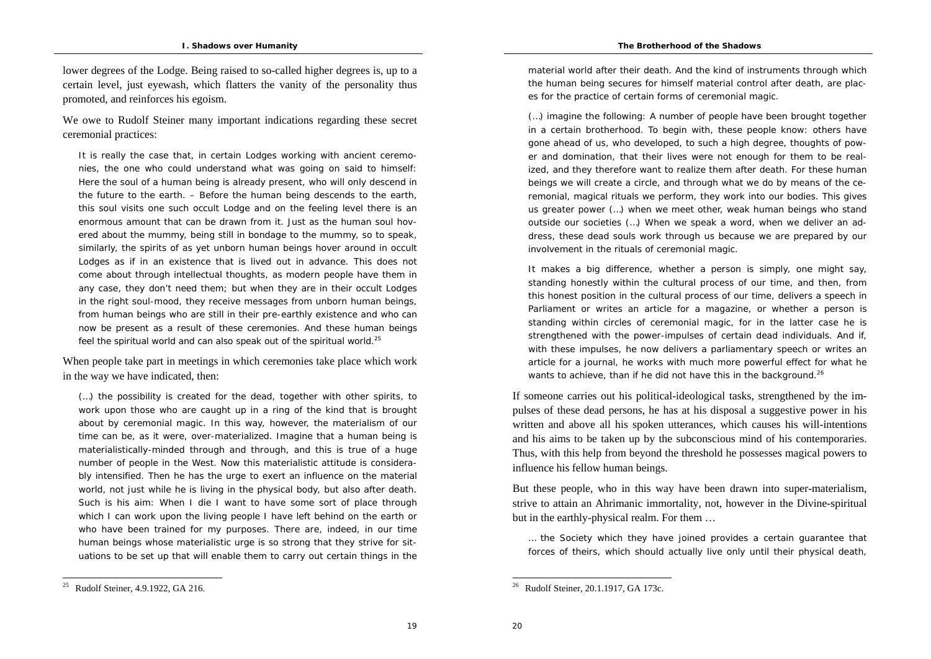lower degrees of the Lodge. Being raised to so-called higher degrees is, up to a certain level, just eyewash, which flatters the vanity of the personality thus promoted, and reinforces his egoism.

We owe to Rudolf Steiner many important indications regarding these secret ceremonial practices:

It is really the case that, in certain Lodges working with ancient ceremonies, the one who could understand what was going on said to himself: Here the soul of a human being is already present, who will only descend in the future to the earth. – Before the human being descends to the earth, this soul visits one such occult Lodge and on the feeling level there is an enormous amount that can be drawn from it. Just as the human soul hovered about the mummy, being still in bondage to the mummy, so to speak, similarly, the spirits of as yet unborn human beings hover around in occult Lodges as if in an existence that is lived out in advance. This does not come about through intellectual thoughts, as modern people have them in any case, they don't need them; but when they are in their occult Lodges in the right soul-mood, they receive messages from unborn human beings, from human beings who are still in their pre-earthly existence and who can now be present as a result of these ceremonies. And these human beings feel the spiritual world and can also speak out of the spiritual world.<sup>25</sup>

When people take part in meetings in which ceremonies take place which work in the way we have indicated, then:

(…) the possibility is created for the dead, together with other spirits, to work upon those who are caught up in a ring of the kind that is brought about by ceremonial magic. In this way, however, the materialism of our time can be, as it were, over-materialized. Imagine that a human being is materialistically-minded through and through, and this is true of a huge number of people in the West. Now this materialistic attitude is considerably intensified. Then he has the urge to exert an influence on the material world, not just while he is living in the physical body, but also after death. Such is his aim: When I die I want to have some sort of place through which I can work upon the living people I have left behind on the earth or who have been trained for my purposes. There are, indeed, in our time human beings whose materialistic urge is so strong that they strive for situations to be set up that will enable them to carry out certain things in the

<sup>25</sup> Rudolf Steiner, 4.9.1922, GA 216.

material world after their death. And the kind of instruments through which the human being secures for himself material control after death, are places for the practice of certain forms of ceremonial magic.

(…) imagine the following: A number of people have been brought together in a certain brotherhood. To begin with, these people know: others have gone ahead of us, who developed, to such a high degree, thoughts of power and domination, that their lives were not enough for them to be realized, and they therefore want to realize them after death. For these human beings we will create a circle, and through what we do by means of the ceremonial, magical rituals we perform, they work into our bodies. This gives us greater power (…) when we meet other, weak human beings who stand outside our societies (…) When we speak a word, when we deliver an address, these dead souls work through us because we are prepared by our involvement in the rituals of ceremonial magic.

It makes a big difference, whether a person is simply, one might say, standing honestly within the cultural process of our time, and then, from this honest position in the cultural process of our time, delivers a speech in Parliament or writes an article for a magazine, or whether a person is standing within circles of ceremonial magic, for in the latter case he is strengthened with the power-impulses of certain dead individuals. And if, with these impulses, he now delivers a parliamentary speech or writes an article for a journal, he works with much more powerful effect for what he wants to achieve, than if he did not have this in the background.<sup>26</sup>

If someone carries out his political-ideological tasks, strengthened by the impulses of these dead persons, he has at his disposal a suggestive power in his written and above all his spoken utterances, which causes his will-intentions and his aims to be taken up by the subconscious mind of his contemporaries. Thus, with this help from beyond the threshold he possesses magical powers to influence his fellow human beings.

But these people, who in this way have been drawn into super-materialism, strive to attain an Ahrimanic immortality, not, however in the Divine-spiritual but in the earthly-physical realm. For them …

… the Society which they have joined provides a certain guarantee that forces of theirs, which should actually live only until their physical death,

19

<sup>26</sup> Rudolf Steiner, 20.1.1917, GA 173c.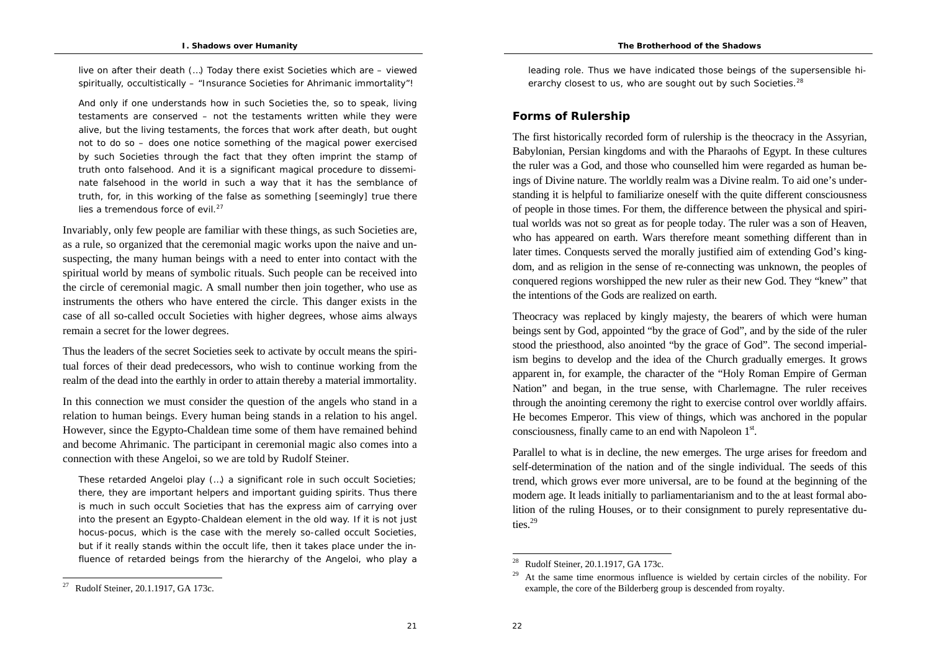live on after their death (…) Today there exist Societies which are – viewed spiritually, occultistically – "Insurance Societies for Ahrimanic immortality"!

And only if one understands how in such Societies the, so to speak, living testaments are conserved – not the testaments written while they were alive, but the living testaments, the forces that work after death, but ought not to do so – does one notice something of the magical power exercised by such Societies through the fact that they often imprint the stamp of truth onto falsehood. And it is a significant magical procedure to disseminate falsehood in the world in such a way that it has the semblance of truth, for, in this working of the false as something [seemingly] true there lies a tremendous force of evil. $27$ 

Invariably, only few people are familiar with these things, as such Societies are, as a rule, so organized that the ceremonial magic works upon the naive and unsuspecting, the many human beings with a need to enter into contact with the spiritual world by means of symbolic rituals. Such people can be received into the circle of ceremonial magic. A small number then join together, who use as instruments the others who have entered the circle. This danger exists in the case of all so-called occult Societies with higher degrees, whose aims always remain a secret for the lower degrees.

Thus the leaders of the secret Societies seek to activate by occult means the spiritual forces of their dead predecessors, who wish to continue working from the realm of the dead into the earthly in order to attain thereby a material immortality.

In this connection we must consider the question of the angels who stand in a relation to human beings. Every human being stands in a relation to his angel. However, since the Egypto-Chaldean time some of them have remained behind and become Ahrimanic. The participant in ceremonial magic also comes into a connection with these Angeloi, so we are told by Rudolf Steiner.

These retarded Angeloi play (…) a significant role in such occult Societies; there, they are important helpers and important guiding spirits. Thus there is much in such occult Societies that has the express aim of carrying over into the present an Egypto-Chaldean element in the old way. If it is not just hocus-pocus, which is the case with the merely so-called occult Societies, but if it really stands within the occult life, then it takes place under the influence of retarded beings from the hierarchy of the Angeloi, who play a leading role. Thus we have indicated those beings of the supersensible hierarchy closest to us, who are sought out by such Societies.<sup>28</sup>

### **Forms of Rulership**

The first historically recorded form of rulership is the theocracy in the Assyrian, Babylonian, Persian kingdoms and with the Pharaohs of Egypt. In these cultures the ruler was a God, and those who counselled him were regarded as human beings of Divine nature. The worldly realm was a Divine realm. To aid one's understanding it is helpful to familiarize oneself with the quite different consciousness of people in those times. For them, the difference between the physical and spiritual worlds was not so great as for people today. The ruler was a son of Heaven, who has appeared on earth. Wars therefore meant something different than in later times. Conquests served the morally justified aim of extending God's kingdom, and as religion in the sense of re-connecting was unknown, the peoples of conquered regions worshipped the new ruler as their new God. They "knew" that the intentions of the Gods are realized on earth.

Theocracy was replaced by kingly majesty, the bearers of which were human beings sent by God, appointed "by the grace of God", and by the side of the ruler stood the priesthood, also anointed "by the grace of God". The second imperialism begins to develop and the idea of the Church gradually emerges. It grows apparent in, for example, the character of the "Holy Roman Empire of German Nation" and began, in the true sense, with Charlemagne. The ruler receives through the anointing ceremony the right to exercise control over worldly affairs. He becomes Emperor. This view of things, which was anchored in the popular consciousness, finally came to an end with Napoleon 1<sup>st</sup>.

Parallel to what is in decline, the new emerges. The urge arises for freedom and self-determination of the nation and of the single individual. The seeds of this trend, which grows ever more universal, are to be found at the beginning of the modern age. It leads initially to parliamentarianism and to the at least formal abolition of the ruling Houses, or to their consignment to purely representative duties.<sup>29</sup>

 $2^{\cdot}$ 

<sup>27</sup> Rudolf Steiner, 20.1.1917, GA 173c.

<sup>28</sup> Rudolf Steiner, 20.1.1917, GA 173c.

<sup>29</sup> At the same time enormous influence is wielded by certain circles of the nobility. For example, the core of the Bilderberg group is descended from royalty.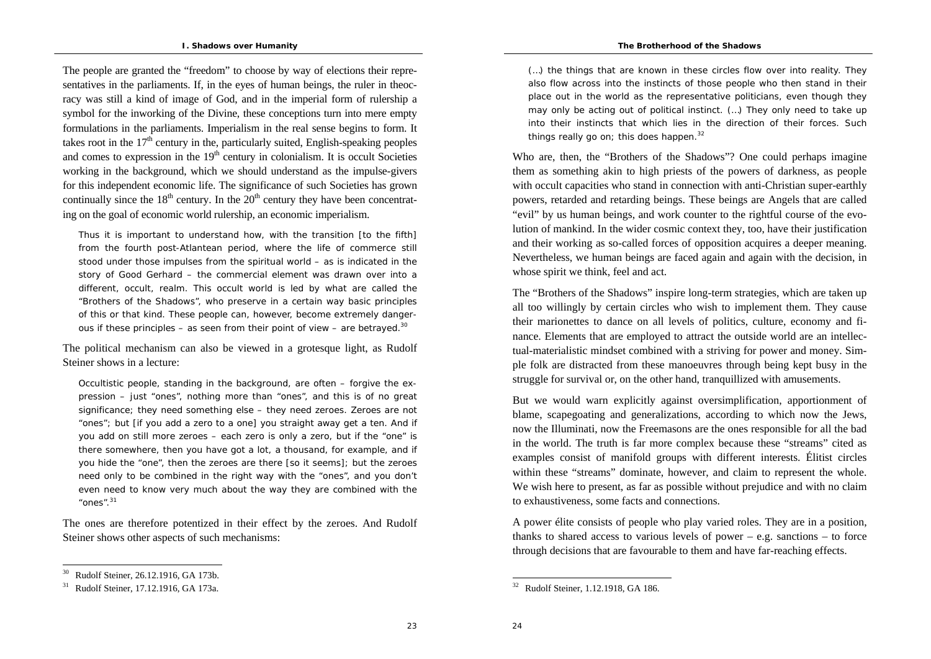The people are granted the "freedom" to choose by way of elections their representatives in the parliaments. If, in the eyes of human beings, the ruler in theocracy was still a kind of image of God, and in the imperial form of rulership a symbol for the inworking of the Divine, these conceptions turn into mere empty formulations in the parliaments. Imperialism in the real sense begins to form. It takes root in the  $17<sup>th</sup>$  century in the, particularly suited, English-speaking peoples and comes to expression in the  $19<sup>th</sup>$  century in colonialism. It is occult Societies working in the background, which we should understand as the impulse-givers for this independent economic life. The significance of such Societies has grown continually since the  $18<sup>th</sup>$  century. In the  $20<sup>th</sup>$  century they have been concentrating on the goal of economic world rulership, an economic imperialism.

Thus it is important to understand how, with the transition [to the fifth] from the fourth post-Atlantean period, where the life of commerce still stood under those impulses from the spiritual world – as is indicated in the story of Good Gerhard – the commercial element was drawn over into a different, occult, realm. This occult world is led by what are called the "Brothers of the Shadows", who preserve in a certain way basic principles of this or that kind. These people can, however, become extremely dangerous if these principles – as seen from their point of view – are betrayed.<sup>30</sup>

The political mechanism can also be viewed in a grotesque light, as Rudolf Steiner shows in a lecture:

Occultistic people, standing in the background, are often – forgive the expression – just "ones", nothing more than "ones", and this is of no great significance; they need something else – they need zeroes. Zeroes are not "ones"; but [if you add a zero to a one] you straight away get a ten. And if you add on still more zeroes – each zero is only a zero, but if the "one" is there somewhere, then you have got a lot, a thousand, for example, and if you hide the "one", then the zeroes are there [so it seems]; but the zeroes need only to be combined in the right way with the "ones", and you don't even need to know very much about the way they are combined with the "ones".<sup>31</sup>

The ones are therefore potentized in their effect by the zeroes. And Rudolf Steiner shows other aspects of such mechanisms:

(…) the things that are known in these circles flow over into reality. They also flow across into the instincts of those people who then stand in their place out in the world as the representative politicians, even though they may only be acting out of political instinct. (…) They only need to take up into their instincts that which lies in the direction of their forces. Such things really go on; this does happen.<sup>32</sup>

Who are, then, the "Brothers of the Shadows"? One could perhaps imagine them as something akin to high priests of the powers of darkness, as people with occult capacities who stand in connection with anti-Christian super-earthly powers, retarded and retarding beings. These beings are Angels that are called "evil" by us human beings, and work counter to the rightful course of the evolution of mankind. In the wider cosmic context they, too, have their justification and their working as so-called forces of opposition acquires a deeper meaning. Nevertheless, we human beings are faced again and again with the decision, in whose spirit we think, feel and act.

The "Brothers of the Shadows" inspire long-term strategies, which are taken up all too willingly by certain circles who wish to implement them. They cause their marionettes to dance on all levels of politics, culture, economy and finance. Elements that are employed to attract the outside world are an intellectual-materialistic mindset combined with a striving for power and money. Simple folk are distracted from these manoeuvres through being kept busy in the struggle for survival or, on the other hand, tranquillized with amusements.

But we would warn explicitly against oversimplification, apportionment of blame, scapegoating and generalizations, according to which now the Jews, now the Illuminati, now the Freemasons are the ones responsible for all the bad in the world. The truth is far more complex because these "streams" cited as examples consist of manifold groups with different interests. Élitist circles within these "streams" dominate, however, and claim to represent the whole. We wish here to present, as far as possible without prejudice and with no claim to exhaustiveness, some facts and connections.

A power élite consists of people who play varied roles. They are in a position, thanks to shared access to various levels of power  $-$  e.g. sanctions  $-$  to force through decisions that are favourable to them and have far-reaching effects.

23

<sup>30</sup> Rudolf Steiner, 26.12.1916, GA 173b.

<sup>31</sup> Rudolf Steiner, 17.12.1916, GA 173a.

<sup>32</sup> Rudolf Steiner, 1.12.1918, GA 186.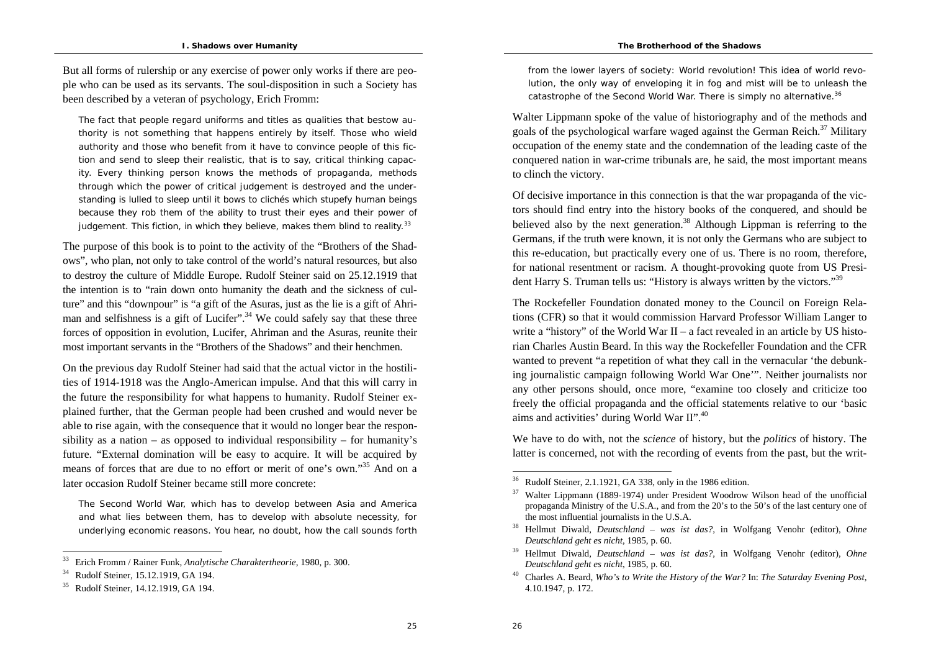But all forms of rulership or any exercise of power only works if there are people who can be used as its servants. The soul-disposition in such a Society has been described by a veteran of psychology, Erich Fromm:

The fact that people regard uniforms and titles as qualities that bestow authority is not something that happens entirely by itself. Those who wield authority and those who benefit from it have to convince people of this fiction and send to sleep their realistic, that is to say, critical thinking capacity. Every thinking person knows the methods of propaganda, methods through which the power of critical judgement is destroyed and the understanding is lulled to sleep until it bows to clichés which stupefy human beings because they rob them of the ability to trust their eyes and their power of judgement. This fiction, in which they believe, makes them blind to reality. $33$ 

The purpose of this book is to point to the activity of the "Brothers of the Shadows", who plan, not only to take control of the world's natural resources, but also to destroy the culture of Middle Europe. Rudolf Steiner said on 25.12.1919 that the intention is to "rain down onto humanity the death and the sickness of culture" and this "downpour" is "a gift of the Asuras, just as the lie is a gift of Ahriman and selfishness is a gift of Lucifer".<sup>34</sup> We could safely say that these three forces of opposition in evolution, Lucifer, Ahriman and the Asuras, reunite their most important servants in the "Brothers of the Shadows" and their henchmen.

On the previous day Rudolf Steiner had said that the actual victor in the hostilities of 1914-1918 was the Anglo-American impulse. And that this will carry in the future the responsibility for what happens to humanity. Rudolf Steiner explained further, that the German people had been crushed and would never be able to rise again, with the consequence that it would no longer bear the responsibility as a nation – as opposed to individual responsibility – for humanity's future. "External domination will be easy to acquire. It will be acquired by means of forces that are due to no effort or merit of one's own."<sup>35</sup> And on a later occasion Rudolf Steiner became still more concrete:

The Second World War, which has to develop between Asia and America and what lies between them, has to develop with absolute necessity, for underlying economic reasons. You hear, no doubt, how the call sounds forth from the lower layers of society: World revolution! This idea of world revolution, the only way of enveloping it in fog and mist will be to unleash the catastrophe of the Second World War. There is simply no alternative.<sup>36</sup>

Walter Lippmann spoke of the value of historiography and of the methods and goals of the psychological warfare waged against the German Reich. $^{37}$  Military occupation of the enemy state and the condemnation of the leading caste of the conquered nation in war-crime tribunals are, he said, the most important means to clinch the victory.

Of decisive importance in this connection is that the war propaganda of the victors should find entry into the history books of the conquered, and should be believed also by the next generation.<sup>38</sup> Although Lippman is referring to the Germans, if the truth were known, it is not only the Germans who are subject to this re-education, but practically every one of us. There is no room, therefore, for national resentment or racism. A thought-provoking quote from US President Harry S. Truman tells us: "History is always written by the victors."<sup>39</sup>

The Rockefeller Foundation donated money to the Council on Foreign Relations (CFR) so that it would commission Harvard Professor William Langer to write a "history" of the World War  $II - a$  fact revealed in an article by US historian Charles Austin Beard. In this way the Rockefeller Foundation and the CFR wanted to prevent "a repetition of what they call in the vernacular 'the debunking journalistic campaign following World War One'". Neither journalists nor any other persons should, once more, "examine too closely and criticize too freely the official propaganda and the official statements relative to our 'basic aims and activities' during World War II".<sup>40</sup>

We have to do with, not the *science* of history, but the *politics* of history. The latter is concerned, not with the recording of events from the past, but the writ-

<sup>33</sup> Erich Fromm / Rainer Funk, *Analytische Charaktertheorie*, 1980, p. 300.

<sup>34</sup> Rudolf Steiner, 15.12.1919, GA 194.

<sup>35</sup> Rudolf Steiner, 14.12.1919, GA 194.

<sup>36</sup> Rudolf Steiner, 2.1.1921, GA 338, only in the 1986 edition.

<sup>37</sup> Walter Lippmann (1889-1974) under President Woodrow Wilson head of the unofficial propaganda Ministry of the U.S.A., and from the 20's to the 50's of the last century one of the most influential journalists in the U.S.A.

<sup>38</sup> Hellmut Diwald, *Deutschland – was ist das?*, in Wolfgang Venohr (editor), *Ohne Deutschland geht es nicht*, 1985, p. 60.

<sup>39</sup> Hellmut Diwald, *Deutschland – was ist das?*, in Wolfgang Venohr (editor), *Ohne Deutschland geht es nicht*, 1985, p. 60.

<sup>40</sup> Charles A. Beard, *Who's to Write the History of the War?* In: *The Saturday Evening Post,*  4.10.1947, p. 172.